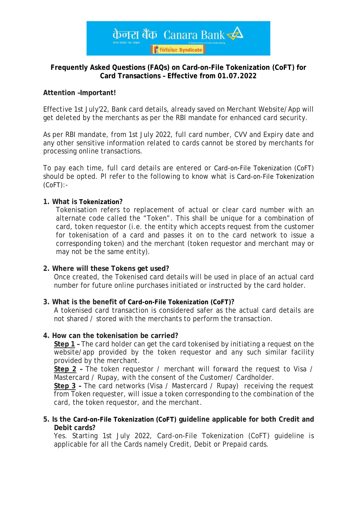

## **Frequently Asked Questions (FAQs) on Card-on-File Tokenization (CoFT) for Card Transactions – Effective from 01.07.2022**

## **Attention –Important!**

Effective 1st July'22, Bank card details, already saved on Merchant Website/App will get deleted by the merchants as per the RBI mandate for enhanced card security.

As per RBI mandate, from 1st July 2022, full card number, CVV and Expiry date and any other sensitive information related to cards cannot be stored by merchants for processing online transactions.

To pay each time, full card details are entered or Card-on-File Tokenization (CoFT) should be opted. Pl refer to the following to know what is Card-on-File Tokenization  $(CoFT)$ :-

## **1. What is Tokenization?**

Tokenisation refers to replacement of actual or clear card number with an alternate code called the "Token". This shall be unique for a combination of card, token requestor (i.e. the entity which accepts request from the customer for tokenisation of a card and passes it on to the card network to issue a corresponding token) and the merchant (token requestor and merchant may or may not be the same entity).

## **2. Where will these Tokens get used?**

Once created, the Tokenised card details will be used in place of an actual card number for future online purchases initiated or instructed by the card holder.

## **3. What is the benefit of Card-on-File Tokenization (CoFT)?**

A tokenised card transaction is considered safer as the actual card details are not shared / stored with the merchants to perform the transaction.

#### **4. How can the tokenisation be carried?**

**Step 1 –** The card holder can get the card tokenised by initiating a request on the website/app provided by the token requestor and any such similar facility provided by the merchant.

**Step 2 –** The token requestor / merchant will forward the request to Visa / Mastercard / Rupay, with the consent of the Customer/ Cardholder.

**Step 3 –** The card networks (Visa / Mastercard / Rupay) receiving the request from Token requester, will issue a token corresponding to the combination of the card, the token requestor, and the merchant.

#### **5. Is the Card-on-File Tokenization (CoFT) guideline applicable for both Credit and Debit cards?**

Yes. Starting 1st July 2022, Card-on-File Tokenization (CoFT) guideline is applicable for all the Cards namely Credit, Debit or Prepaid cards.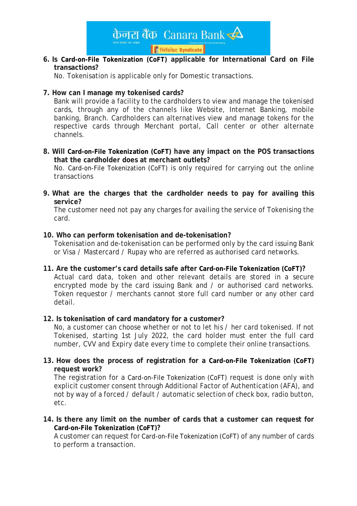

# **6. Is Card-on-File Tokenization (CoFT) applicable for International Card on File transactions?**

No. Tokenisation is applicable only for Domestic transactions.

## **7. How can I manage my tokenised cards?**

Bank will provide a facility to the cardholders to view and manage the tokenised cards, through any of the channels like Website, Internet Banking, mobile banking, Branch. Cardholders can alternatives view and manage tokens for the respective cards through Merchant portal, Call center or other alternate channels.

**8. Will Card-on-File Tokenization (CoFT) have any impact on the POS transactions that the cardholder does at merchant outlets?**

No. Card-on-File Tokenization (CoFT) is only required for carrying out the online transactions

**9. What are the charges that the cardholder needs to pay for availing this service?**

The customer need not pay any charges for availing the service of Tokenising the card.

## **10. Who can perform tokenisation and de-tokenisation?**

Tokenisation and de-tokenisation can be performed only by the card issuing Bank or Visa / Mastercard / Rupay who are referred as authorised card networks.

**11. Are the customer's card details safe after Card-on-File Tokenization (CoFT)?** Actual card data, token and other relevant details are stored in a secure encrypted mode by the card issuing Bank and / or authorised card networks. Token requestor / merchants cannot store full card number or any other card detail.

## **12. Is tokenisation of card mandatory for a customer?**

No, a customer can choose whether or not to let his / her card tokenised. If not Tokenised, starting 1st July 2022, the card holder must enter the full card number, CVV and Expiry date every time to complete their online transactions.

**13. How does the process of registration for a Card-on-File Tokenization (CoFT) request work?**

The registration for a Card-on-File Tokenization (CoFT) request is done only with explicit customer consent through Additional Factor of Authentication (AFA), and not by way of a forced / default / automatic selection of check box, radio button, etc.

**14. Is there any limit on the number of cards that a customer can request for Card-on-File Tokenization (CoFT)?**

A customer can request for Card-on-File Tokenization (CoFT) of any number of cards to perform a transaction.